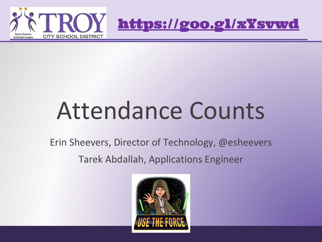

# Attendance Counts

Erin Sheevers, Director of Technology, @esheevers

Tarek Abdallah, Applications Engineer

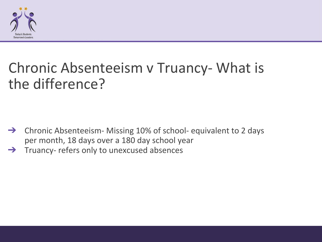

#### Chronic Absenteeism v Truancy- What is the difference?

- ➔ Chronic Absenteeism- Missing 10% of school- equivalent to 2 days per month, 18 days over a 180 day school year
- ➔ Truancy- refers only to unexcused absences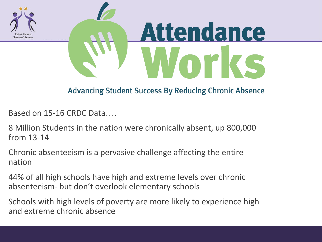

#### **Advancing Student Success By Reducing Chronic Absence**

Based on 15-16 CRDC Data….

8 Million Students in the nation were chronically absent, up 800,000 from 13-14

Chronic absenteeism is a pervasive challenge affecting the entire nation

44% of all high schools have high and extreme levels over chronic absenteeism- but don't overlook elementary schools

Schools with high levels of poverty are more likely to experience high and extreme chronic absence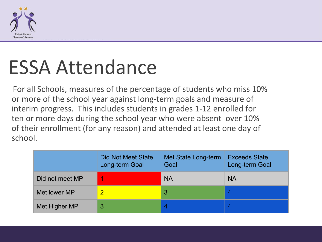

#### ESSA Attendance

For all Schools, measures of the percentage of students who miss 10% or more of the school year against long-term goals and measure of interim progress. This includes students in grades 1-12 enrolled for ten or more days during the school year who were absent over 10% of their enrollment (for any reason) and attended at least one day of school.

|                 | Did Not Meet State<br>Long-term Goal | Met State Long-term<br>Goal | <b>Exceeds State</b><br>Long-term Goal |
|-----------------|--------------------------------------|-----------------------------|----------------------------------------|
| Did not meet MP | 1                                    | <b>NA</b>                   | <b>NA</b>                              |
| Met lower MP    | 2                                    | $\overline{3}$              |                                        |
| Met Higher MP   | 3                                    | 4                           |                                        |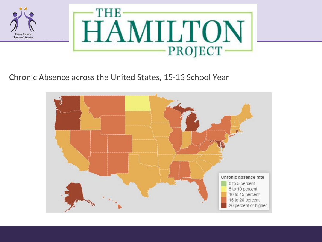



Chronic Absence across the United States, 15-16 School Year

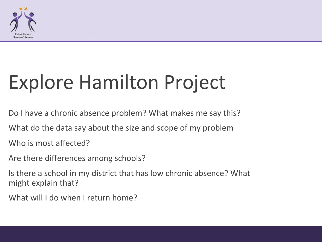

## Explore Hamilton Project

- Do I have a chronic absence problem? What makes me say this?
- What do the data say about the size and scope of my problem
- Who is most affected?
- Are there differences among schools?
- Is there a school in my district that has low chronic absence? What might explain that?
- What will I do when I return home?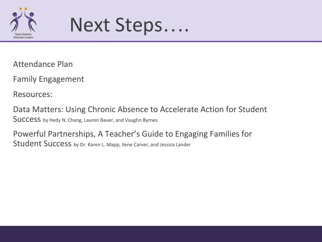

#### Next Steps….

Attendance Plan

Family Engagement

Resources:

Data Matters: Using Chronic Absence to Accelerate Action for Student SUCCESS by Hedy N. Chang, Lauren Bauer, and Vaughn Byrnes

Powerful Partnerships, A Teacher's Guide to Engaging Families for Student Success by Dr. Karen L. Mapp, Ilene Carver, and Jessica Lander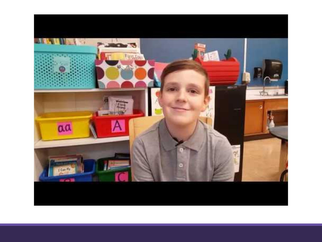